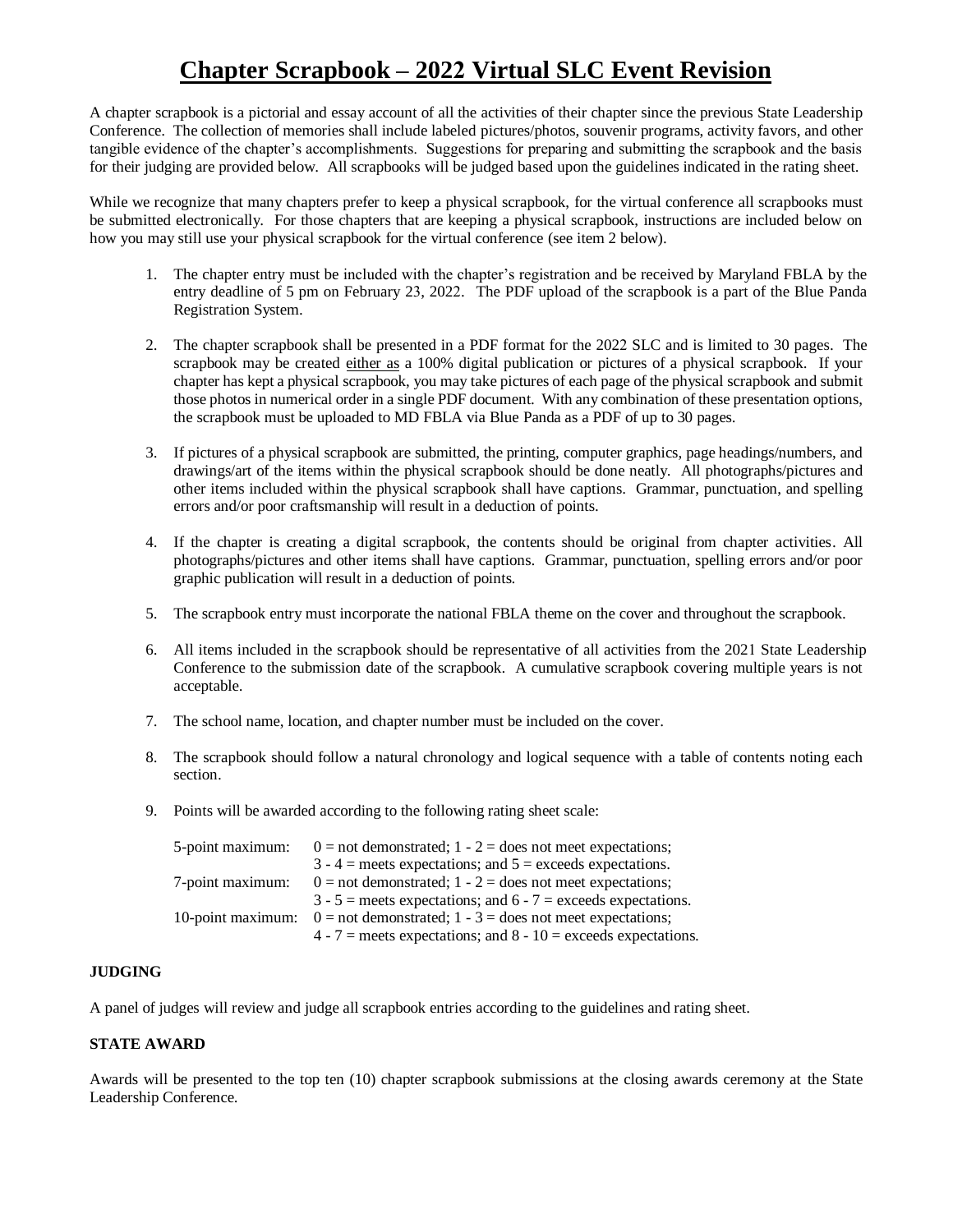## **Chapter Scrapbook – 2022 Virtual SLC Event Revision**

A chapter scrapbook is a pictorial and essay account of all the activities of their chapter since the previous State Leadership Conference. The collection of memories shall include labeled pictures/photos, souvenir programs, activity favors, and other tangible evidence of the chapter's accomplishments. Suggestions for preparing and submitting the scrapbook and the basis for their judging are provided below. All scrapbooks will be judged based upon the guidelines indicated in the rating sheet.

While we recognize that many chapters prefer to keep a physical scrapbook, for the virtual conference all scrapbooks must be submitted electronically. For those chapters that are keeping a physical scrapbook, instructions are included below on how you may still use your physical scrapbook for the virtual conference (see item 2 below).

- 1. The chapter entry must be included with the chapter's registration and be received by Maryland FBLA by the entry deadline of 5 pm on February 23, 2022. The PDF upload of the scrapbook is a part of the Blue Panda Registration System.
- 2. The chapter scrapbook shall be presented in a PDF format for the 2022 SLC and is limited to 30 pages. The scrapbook may be created either as a 100% digital publication or pictures of a physical scrapbook. If your chapter has kept a physical scrapbook, you may take pictures of each page of the physical scrapbook and submit those photos in numerical order in a single PDF document. With any combination of these presentation options, the scrapbook must be uploaded to MD FBLA via Blue Panda as a PDF of up to 30 pages.
- 3. If pictures of a physical scrapbook are submitted, the printing, computer graphics, page headings/numbers, and drawings/art of the items within the physical scrapbook should be done neatly. All photographs/pictures and other items included within the physical scrapbook shall have captions. Grammar, punctuation, and spelling errors and/or poor craftsmanship will result in a deduction of points.
- 4. If the chapter is creating a digital scrapbook, the contents should be original from chapter activities. All photographs/pictures and other items shall have captions. Grammar, punctuation, spelling errors and/or poor graphic publication will result in a deduction of points.
- 5. The scrapbook entry must incorporate the national FBLA theme on the cover and throughout the scrapbook.
- 6. All items included in the scrapbook should be representative of all activities from the 2021 State Leadership Conference to the submission date of the scrapbook. A cumulative scrapbook covering multiple years is not acceptable.
- 7. The school name, location, and chapter number must be included on the cover.
- 8. The scrapbook should follow a natural chronology and logical sequence with a table of contents noting each section.
- 9. Points will be awarded according to the following rating sheet scale:

| 5-point maximum:  | $0 =$ not demonstrated; 1 - 2 = does not meet expectations;        |
|-------------------|--------------------------------------------------------------------|
|                   | $3 - 4$ = meets expectations; and $5$ = exceeds expectations.      |
| 7-point maximum:  | $0 =$ not demonstrated; 1 - 2 = does not meet expectations;        |
|                   | $3 - 5$ = meets expectations; and 6 - 7 = exceeds expectations.    |
| 10-point maximum: | $0 =$ not demonstrated; 1 - 3 = does not meet expectations;        |
|                   | $4 - 7$ = meets expectations; and $8 - 10$ = exceeds expectations. |

## **JUDGING**

A panel of judges will review and judge all scrapbook entries according to the guidelines and rating sheet.

## **STATE AWARD**

Awards will be presented to the top ten (10) chapter scrapbook submissions at the closing awards ceremony at the State Leadership Conference.